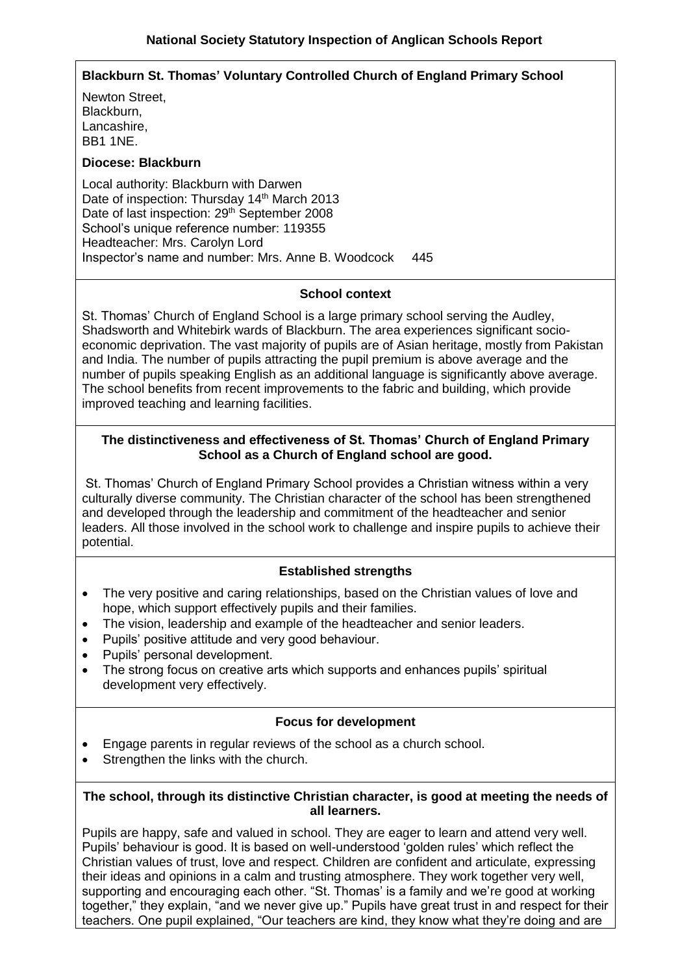# **Blackburn St. Thomas' Voluntary Controlled Church of England Primary School**

Newton Street, Blackburn, Lancashire, BB1 1NE.

#### **Diocese: Blackburn**

Local authority: Blackburn with Darwen Date of inspection: Thursday 14<sup>th</sup> March 2013 Date of last inspection: 29<sup>th</sup> September 2008 School's unique reference number: 119355 Headteacher: Mrs. Carolyn Lord Inspector's name and number: Mrs. Anne B. Woodcock 445

#### **School context**

St. Thomas' Church of England School is a large primary school serving the Audley, Shadsworth and Whitebirk wards of Blackburn. The area experiences significant socioeconomic deprivation. The vast majority of pupils are of Asian heritage, mostly from Pakistan and India. The number of pupils attracting the pupil premium is above average and the number of pupils speaking English as an additional language is significantly above average. The school benefits from recent improvements to the fabric and building, which provide improved teaching and learning facilities.

## **The distinctiveness and effectiveness of St. Thomas' Church of England Primary School as a Church of England school are good.**

St. Thomas' Church of England Primary School provides a Christian witness within a very culturally diverse community. The Christian character of the school has been strengthened and developed through the leadership and commitment of the headteacher and senior leaders. All those involved in the school work to challenge and inspire pupils to achieve their potential.

## **Established strengths**

- The very positive and caring relationships, based on the Christian values of love and hope, which support effectively pupils and their families.
- The vision, leadership and example of the headteacher and senior leaders.
- Pupils' positive attitude and very good behaviour.
- Pupils' personal development.
- The strong focus on creative arts which supports and enhances pupils' spiritual development very effectively.

#### **Focus for development**

- Engage parents in regular reviews of the school as a church school.
- Strengthen the links with the church.

#### **The school, through its distinctive Christian character, is good at meeting the needs of all learners.**

Pupils are happy, safe and valued in school. They are eager to learn and attend very well. Pupils' behaviour is good. It is based on well-understood 'golden rules' which reflect the Christian values of trust, love and respect. Children are confident and articulate, expressing their ideas and opinions in a calm and trusting atmosphere. They work together very well, supporting and encouraging each other. "St. Thomas' is a family and we're good at working together," they explain, "and we never give up." Pupils have great trust in and respect for their teachers. One pupil explained, "Our teachers are kind, they know what they're doing and are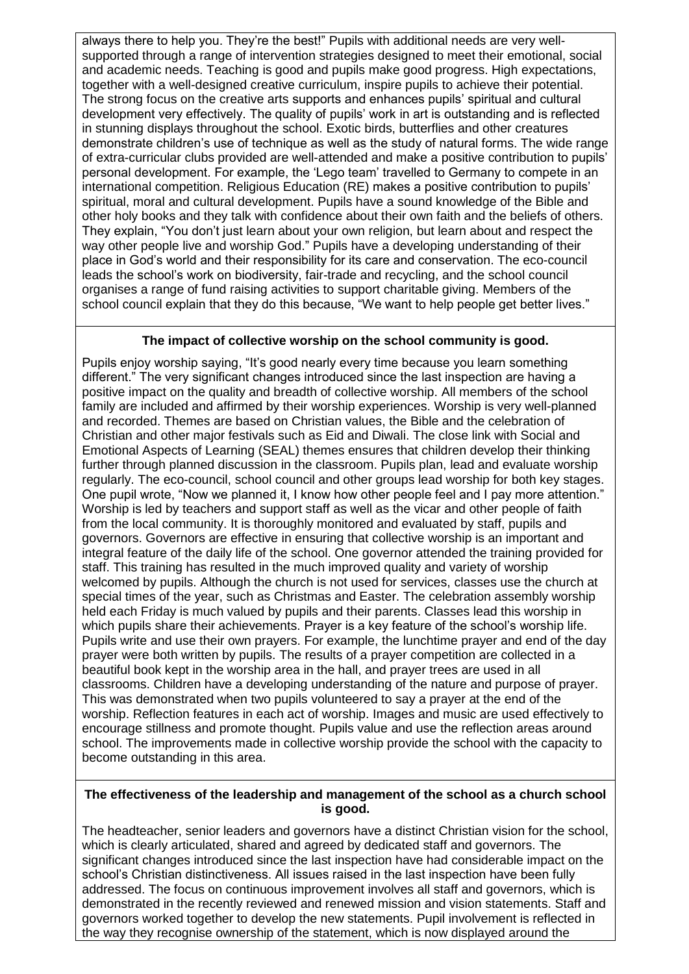always there to help you. They're the best!" Pupils with additional needs are very wellsupported through a range of intervention strategies designed to meet their emotional, social and academic needs. Teaching is good and pupils make good progress. High expectations, together with a well-designed creative curriculum, inspire pupils to achieve their potential. The strong focus on the creative arts supports and enhances pupils' spiritual and cultural development very effectively. The quality of pupils' work in art is outstanding and is reflected in stunning displays throughout the school. Exotic birds, butterflies and other creatures demonstrate children's use of technique as well as the study of natural forms. The wide range of extra-curricular clubs provided are well-attended and make a positive contribution to pupils' personal development. For example, the 'Lego team' travelled to Germany to compete in an international competition. Religious Education (RE) makes a positive contribution to pupils' spiritual, moral and cultural development. Pupils have a sound knowledge of the Bible and other holy books and they talk with confidence about their own faith and the beliefs of others. They explain, "You don't just learn about your own religion, but learn about and respect the way other people live and worship God." Pupils have a developing understanding of their place in God's world and their responsibility for its care and conservation. The eco-council leads the school's work on biodiversity, fair-trade and recycling, and the school council organises a range of fund raising activities to support charitable giving. Members of the school council explain that they do this because, "We want to help people get better lives."

## **The impact of collective worship on the school community is good.**

Pupils enjoy worship saying, "It's good nearly every time because you learn something different." The very significant changes introduced since the last inspection are having a positive impact on the quality and breadth of collective worship. All members of the school family are included and affirmed by their worship experiences. Worship is very well-planned and recorded. Themes are based on Christian values, the Bible and the celebration of Christian and other major festivals such as Eid and Diwali. The close link with Social and Emotional Aspects of Learning (SEAL) themes ensures that children develop their thinking further through planned discussion in the classroom. Pupils plan, lead and evaluate worship regularly. The eco-council, school council and other groups lead worship for both key stages. One pupil wrote, "Now we planned it, I know how other people feel and I pay more attention." Worship is led by teachers and support staff as well as the vicar and other people of faith from the local community. It is thoroughly monitored and evaluated by staff, pupils and governors. Governors are effective in ensuring that collective worship is an important and integral feature of the daily life of the school. One governor attended the training provided for staff. This training has resulted in the much improved quality and variety of worship welcomed by pupils. Although the church is not used for services, classes use the church at special times of the year, such as Christmas and Easter. The celebration assembly worship held each Friday is much valued by pupils and their parents. Classes lead this worship in which pupils share their achievements. Prayer is a key feature of the school's worship life. Pupils write and use their own prayers. For example, the lunchtime prayer and end of the day prayer were both written by pupils. The results of a prayer competition are collected in a beautiful book kept in the worship area in the hall, and prayer trees are used in all classrooms. Children have a developing understanding of the nature and purpose of prayer. This was demonstrated when two pupils volunteered to say a prayer at the end of the worship. Reflection features in each act of worship. Images and music are used effectively to encourage stillness and promote thought. Pupils value and use the reflection areas around school. The improvements made in collective worship provide the school with the capacity to become outstanding in this area.

## **The effectiveness of the leadership and management of the school as a church school is good.**

The headteacher, senior leaders and governors have a distinct Christian vision for the school, which is clearly articulated, shared and agreed by dedicated staff and governors. The significant changes introduced since the last inspection have had considerable impact on the school's Christian distinctiveness. All issues raised in the last inspection have been fully addressed. The focus on continuous improvement involves all staff and governors, which is demonstrated in the recently reviewed and renewed mission and vision statements. Staff and governors worked together to develop the new statements. Pupil involvement is reflected in the way they recognise ownership of the statement, which is now displayed around the